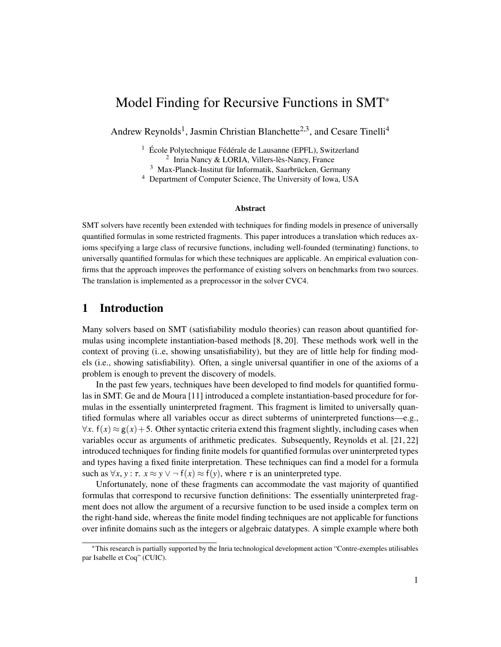# Model Finding for Recursive Functions in SMT<sup>∗</sup>

Andrew Reynolds<sup>1</sup>, Jasmin Christian Blanchette<sup>2,3</sup>, and Cesare Tinelli<sup>4</sup>

<sup>1</sup> École Polytechnique Fédérale de Lausanne (EPFL), Switzerland 2 Inria Nancy & LORIA, Villers-lès-Nancy, France

<sup>3</sup> Max-Planck-Institut für Informatik, Saarbrücken, Germany

<sup>4</sup> Department of Computer Science, The University of Iowa, USA

#### Abstract

SMT solvers have recently been extended with techniques for finding models in presence of universally quantified formulas in some restricted fragments. This paper introduces a translation which reduces axioms specifying a large class of recursive functions, including well-founded (terminating) functions, to universally quantified formulas for which these techniques are applicable. An empirical evaluation confirms that the approach improves the performance of existing solvers on benchmarks from two sources. The translation is implemented as a preprocessor in the solver CVC4.

## 1 Introduction

Many solvers based on SMT (satisfiability modulo theories) can reason about quantified formulas using incomplete instantiation-based methods [\[8,](#page-10-0) [20\]](#page-10-1). These methods work well in the context of proving (i..e, showing unsatisfiability), but they are of little help for finding models (i.e., showing satisfiability). Often, a single universal quantifier in one of the axioms of a problem is enough to prevent the discovery of models.

In the past few years, techniques have been developed to find models for quantified formulas in SMT. Ge and de Moura [\[11\]](#page-10-2) introduced a complete instantiation-based procedure for formulas in the essentially uninterpreted fragment. This fragment is limited to universally quantified formulas where all variables occur as direct subterms of uninterpreted functions—e.g.,  $\forall x$ .  $f(x) \approx g(x) + 5$ . Other syntactic criteria extend this fragment slightly, including cases when variables occur as arguments of arithmetic predicates. Subsequently, Reynolds et al. [\[21,](#page-10-3) [22\]](#page-10-4) introduced techniques for finding finite models for quantified formulas over uninterpreted types and types having a fixed finite interpretation. These techniques can find a model for a formula such as  $\forall x, y : \tau$ .  $x \approx y \lor \neg f(x) \approx f(y)$ , where  $\tau$  is an uninterpreted type.

Unfortunately, none of these fragments can accommodate the vast majority of quantified formulas that correspond to recursive function definitions: The essentially uninterpreted fragment does not allow the argument of a recursive function to be used inside a complex term on the right-hand side, whereas the finite model finding techniques are not applicable for functions over infinite domains such as the integers or algebraic datatypes. A simple example where both

<sup>∗</sup>This research is partially supported by the Inria technological development action "Contre-exemples utilisables par Isabelle et Coq" (CUIC).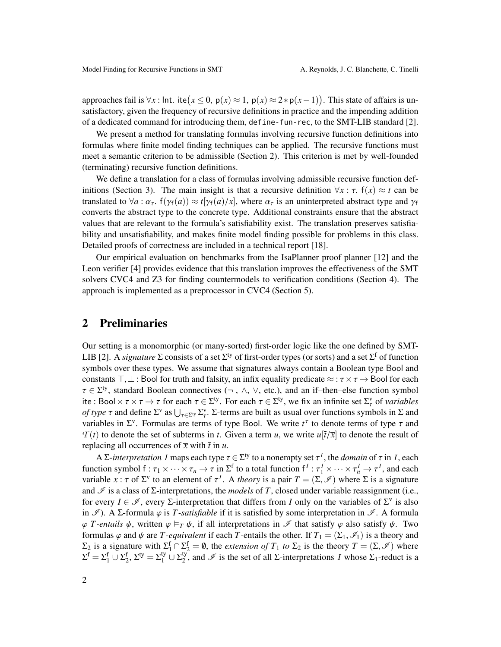approaches fail is  $\forall x$ : Int. ite $(x \le 0, p(x) \approx 1, p(x) \approx 2*p(x-1))$ . This state of affairs is un-<br>satisfactory given the frequency of requiring definitions in practice and the impeding addition satisfactory, given the frequency of recursive definitions in practice and the impending addition of a dedicated command for introducing them, define-fun-rec, to the SMT-LIB standard [\[2\]](#page-9-0).

We present a method for translating formulas involving recursive function definitions into formulas where finite model finding techniques can be applied. The recursive functions must meet a semantic criterion to be admissible (Section [2\)](#page-1-0). This criterion is met by well-founded (terminating) recursive function definitions.

We define a translation for a class of formulas involving admissible recursive function def-initions (Section [3\)](#page-3-0). The main insight is that a recursive definition  $\forall x : \tau$ .  $f(x) \approx t$  can be translated to  $\forall a : \alpha_{\tau}$ .  $f(\gamma_f(a)) \approx t[\gamma_f(a)/x]$ , where  $\alpha_{\tau}$  is an uninterpreted abstract type and  $\gamma_f$ converts the abstract type to the concrete type. Additional constraints ensure that the abstract values that are relevant to the formula's satisfiability exist. The translation preserves satisfiability and unsatisfiability, and makes finite model finding possible for problems in this class. Detailed proofs of correctness are included in a technical report [\[18\]](#page-10-5).

Our empirical evaluation on benchmarks from the IsaPlanner proof planner [\[12\]](#page-10-6) and the Leon verifier [\[4\]](#page-9-1) provides evidence that this translation improves the effectiveness of the SMT solvers CVC4 and Z3 for finding countermodels to verification conditions (Section [4\)](#page-6-0). The approach is implemented as a preprocessor in CVC4 (Section [5\)](#page-7-0).

### <span id="page-1-0"></span>2 Preliminaries

Our setting is a monomorphic (or many-sorted) first-order logic like the one defined by SMT-LIB [\[2\]](#page-9-0). A *signature*  $\Sigma$  consists of a set  $\Sigma^{ty}$  of first-order types (or sorts) and a set  $\Sigma^f$  of function symbols over these types. We assume that signatures always contain a Boolean type Bool and constants  $\top, \bot$ : Bool for truth and falsity, an infix equality predicate  $\approx : \tau \times \tau \rightarrow$  Bool for each  $\tau \in \Sigma^{ty}$ , standard Boolean connectives  $(\neg, \wedge, \vee,$  etc.), and an if-then-else function symbol<br>ito : Bool  $\forall \tau \times \tau$ ,  $\wedge \tau$  for each  $\tau \in \Sigma^{ty}$ . For each  $\tau \in \Sigma^{ty}$  we fix an infinite set  $\Sigma^{y}$  of variables ite : Bool  $\times \tau \times \tau \to \tau$  for each  $\tau \in \Sigma^{\tau}$ . For each  $\tau \in \Sigma^{\tau}$ , we fix an infinite set  $\Sigma_{\tau}^{\tau}$  of *variables*<br>of *type*  $\tau$  and define  $\Sigma^{\tau}$  as  $\vdash \vdash \Sigma^{\tau}$ . Forms are built as usual over functions symb *of type*  $\tau$  and define  $\Sigma^{\nu}$  as  $\bigcup_{\tau \in \Sigma^{\nu}} \Sigma^{\nu}$ .  $\Sigma$ -terms are built as usual over functions symbols in  $\Sigma$  and variables in  $\Sigma^{\nu}$ . Formulas are terms of type Rool. We write  $t^{\tau}$  to denote terms of ty variables in  $\Sigma^{\nu}$ . Formulas are terms of type Bool. We write  $t^{\tau}$  to denote terms of type  $\tau$  and  $\mathcal{T}(t)$  to denote the set of subterms in t. Given a term u, we write  $u[\bar{t}|\bar{x}]$  to denote the result of  $T(t)$  to denote the set of subterms in *t*. Given a term *u*, we write  $u[\bar{t}/\bar{x}]$  to denote the result of replacing all occurrences of  $\bar{x}$  with  $\bar{t}$  in  $u$ .

 $A \Sigma$ *-interpretation I* maps each type  $\tau \in \Sigma^{ty}$  to a nonempty set  $\tau^I$ , the *domain* of  $\tau$  in *I*, each tion symbol  $f : \tau \times \cdots \times \tau \to \tau$  in  $\Sigma^f$  to a total function  $f^I : \tau^I \times \cdots \times \tau^I \to \tau^I$  and each function symbol  $f : \tau_1 \times \cdots \times \tau_n \to \tau$  in  $\Sigma^f$  to a total function  $f^I : \tau_1^I \times \cdots \times \tau_n^I \to \tau^I$ , and each variable  $\chi : \tau$  of  $\Sigma^V$  to an element of  $\tau^I$ . A *theory* is a pair  $\tau = (\Sigma \emptyset)$  where  $\Sigma$  is a signature variable *x* :  $\tau$  of  $\Sigma^{\nu}$  to an element of  $\tau^{I}$ . A *theory* is a pair  $T = (\Sigma, \mathcal{I})$  where  $\Sigma$  is a signature and  $\mathcal{I}$  is a class of  $\Sigma$ -interpretations, the models of  $T$  closed under variable reassignment and  $\mathcal I$  is a class of  $\Sigma$ -interpretations, the *models* of *T*, closed under variable reassignment (i.e., for every  $I \in \mathcal{I}$ , every  $\Sigma$ -interpretation that differs from *I* only on the variables of  $\Sigma^v$  is also in  $\mathscr{I}$ ). A  $\Sigma$ -formula  $\varphi$  is *T*-*satisfiable* if it is satisfied by some interpretation in  $\mathscr{I}$ . A formula  $\varphi$  *T-entails*  $\psi$ , written  $\varphi \models_T \psi$ , if all interpretations in  $\mathscr I$  that satisfy  $\varphi$  also satisfy  $\psi$ . Two formulas  $\varphi$  and  $\psi$  are *T-equivalent* if each *T*-entails the other. If  $T_1 = (\Sigma_1, \mathcal{I}_1)$  is a theory and  $\Sigma_2$  is a signature with  $\Sigma_1^f \cap \Sigma_2^f = \emptyset$ , the *extension of*  $T_1$  *to*  $\Sigma_2$  is the theory  $T = (\Sigma, \mathscr{I})$  where  $\Sigma_1$  is the  $\Sigma_1$  is the set of all  $\Sigma_2$  interpretations *I* whose  $\Sigma_1$  reduct is a  $\Sigma^{\text{f}} = \Sigma^{\text{f}}_1 \cup \Sigma^{\text{f}}_2$ ,  $\Sigma^{\text{ty}} = \Sigma^{\text{ty}}_1 \cup \Sigma^{\text{ty}}_2$  $\frac{y}{2}$ , and  $\mathscr I$  is the set of all Σ-interpretations *I* whose  $\Sigma_1$ -reduct is a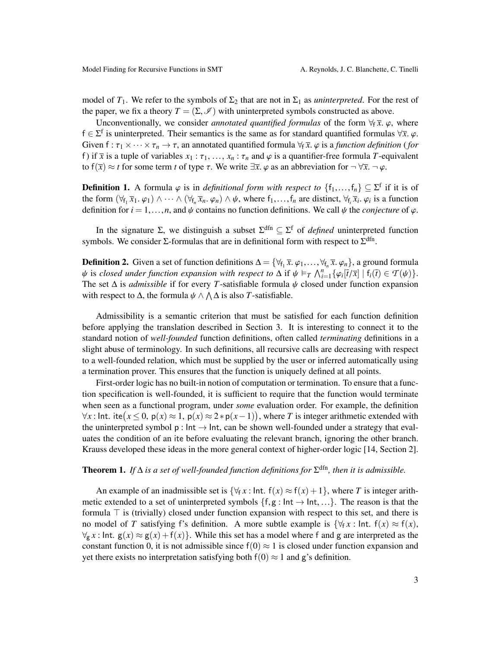model of  $T_1$ . We refer to the symbols of  $\Sigma_2$  that are not in  $\Sigma_1$  as *uninterpreted*. For the rest of the paper, we fix a theory  $T = (\Sigma, \mathcal{I})$  with uninterpreted symbols constructed as above.

Unconventionally, we consider *annotated quantified formulas* of the form  $\forall f \overline{x}$ .  $\varphi$ , where f ∈  $\Sigma$ <sup>f</sup> is uninterpreted. Their semantics is the same as for standard quantified formulas  $\forall \bar{x}, \varphi$ .<br>Given  $f : \tau \times \vee \cdots \times \tau \to \tau$  an annotated quantified formula  $\forall \bar{x}, \varphi$  is a function definition (formula) Given  $f : \tau_1 \times \cdots \times \tau_n \to \tau$ , an annotated quantified formula  $\forall f \overline{x}$ .  $\varphi$  is a *function definition* (*for* f) if  $\bar{x}$  is a tuple of variables  $x_1 : \tau_1, \ldots, x_n : \tau_n$  and  $\varphi$  is a quantifier-free formula *T*-equivalent to  $f(\overline{x}) \approx t$  for some term *t* of type  $\tau$ . We write  $\exists \overline{x}$ .  $\varphi$  as an abbreviation for  $\neg \forall \overline{x}$ .  $\neg \varphi$ .

**Definition 1.** A formula  $\varphi$  is in *definitional form with respect to*  $\{f_1, \ldots, f_n\} \subseteq \Sigma^f$  if it is of the form  $(\forall e \overline{X}, \varphi_0) \wedge \psi_0 \overline{X}, \varphi_0 \wedge \psi_0$  where  $f_1, \ldots, f_n$  are distinct  $(\forall e \overline{X}, \varphi_0)$  is a funct the form  $(\forall_{f_1} \overline{x}_1, \varphi_1) \wedge \cdots \wedge (\forall_{f_n} \overline{x}_n, \varphi_n) \wedge \psi$ , where  $f_1, \ldots, f_n$  are distinct,  $\forall_{f_i} \overline{x}_i, \varphi_i$  is a function<br>definition for  $i - 1$  and  $\psi$  contains no function definitions. We call  $\psi$  the conject definition for  $i = 1, \ldots, n$ , and  $\psi$  contains no function definitions. We call  $\psi$  the *conjecture* of  $\varphi$ .

In the signature  $\Sigma$ , we distinguish a subset  $\Sigma^{\text{dfn}} \subseteq \Sigma^{\text{f}}$  of *defined* uninterpreted function symbols. We consider  $\Sigma$ -formulas that are in definitional form with respect to  $\Sigma^{\text{dfn}}$ .

**Definition 2.** Given a set of function definitions  $\Delta = \{\forall f_1 \overline{x}, \varphi_1, ..., \forall f_n \overline{x}, \varphi_n\}$ , a ground formula<br>*ik is closed under function expansion with respect to*  $\Delta$  if *ik*  $\models x \Delta^n$ ,  $f(x) \overline{f(x)} + f(\overline{f}) \in \mathcal{F}(\mu)$  $\psi$  is *closed under function expansion with respect to*  $\Delta$  if  $\psi \models_T \bigwedge_{i=1}^n {\{\varphi_i[\overline{t}/\overline{x}]\mid f_i(\overline{t}) \in \mathcal{T}(\psi)\}}.$ <br>The set  $\Delta$  is *admissible* if for every *T* satisfiable formula  $\psi$  closed under function expa The set <sup>∆</sup> is *admissible* if for every *<sup>T</sup>*-satisfiable formula ψ closed under function expansion with respect to  $\Delta$ , the formula  $\psi \wedge \Lambda \Delta$  is also *T*-satisfiable.

Admissibility is a semantic criterion that must be satisfied for each function definition before applying the translation described in Section [3.](#page-3-0) It is interesting to connect it to the standard notion of *well-founded* function definitions, often called *terminating* definitions in a slight abuse of terminology. In such definitions, all recursive calls are decreasing with respect to a well-founded relation, which must be supplied by the user or inferred automatically using a termination prover. This ensures that the function is uniquely defined at all points.

First-order logic has no built-in notion of computation or termination. To ensure that a function specification is well-founded, it is sufficient to require that the function would terminate when seen as a functional program, under *some* evaluation order. For example, the definition  $\forall x$ : Int. ite ( $x \le 0$ ,  $p(x) \approx 1$ ,  $p(x) \approx 2 * p(x-1)$ ), where *T* is integer arithmetic extended with the uninterpreted symbol p; Int → Int can be shown well-founded under a strategy that evalthe uninterpreted symbol  $p : Int \rightarrow Int$ , can be shown well-founded under a strategy that evaluates the condition of an ite before evaluating the relevant branch, ignoring the other branch. Krauss developed these ideas in the more general context of higher-order logic [\[14,](#page-10-7) Section 2].

# **Theorem 1.** If  $\Delta$  *is a set of well-founded function definitions for*  $\Sigma^{\text{dfn}}$ *, then it is admissible.*

An example of an inadmissible set is  $\{\forall_{f} x : \text{Int. } f(x) \approx f(x) + 1\}$ , where *T* is integer arithmetic extended to a set of uninterpreted symbols  $\{f,g : \text{Int} \to \text{Int}, ...\}$ . The reason is that the formula  $\top$  is (trivially) closed under function expansion with respect to this set, and there is no model of *T* satisfying f's definition. A more subtle example is  $\{\forall_f x : \text{Int. } f(x) \approx f(x)\}$ ,  $\forall_{g}$  *x* : Int.  $g(x) \approx g(x) + f(x)$ . While this set has a model where f and g are interpreted as the constant function 0, it is not admissible since  $f(0) \approx 1$  is closed under function expansion and yet there exists no interpretation satisfying both  $f(0) \approx 1$  and g's definition.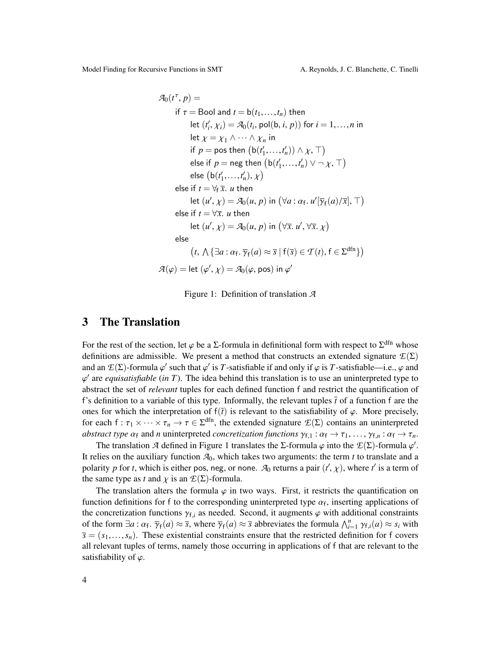Model Finding for Recursive Functions in SMT A. Reynolds, J. C. Blanchette, C. Tinelli

$$
\mathcal{A}_0(t^{\tau}, p) =
$$
  
\nif  $\tau$  = Bool and  $t = b(t_1, ..., t_n)$  then  
\nlet  $(t'_i, \chi_i) = \mathcal{A}_0(t_i, \text{pol}(b, i, p))$  for  $i = 1, ..., n$  in  
\nlet  $\chi = \chi_1 \land \cdots \land \chi_n$  in  
\nif  $p = \text{pos}$  then  $(b(t'_1, ..., t'_n)) \land \chi, \top$ )  
\nelse if  $p = \text{neg}$  then  $(b(t'_1, ..., t'_n)) \lor \neg \chi, \top$ )  
\nelse  $(b(t'_1, ..., t'_n), \chi)$   
\nelse if  $t = \forall_{\bar{f}} \bar{x}$ . *u* then  
\nlet  $(u', \chi) = \mathcal{A}_0(u, p)$  in  $(\forall a : \alpha_f, u'[\overline{\gamma}_f(a)/\overline{x}], \top)$   
\nelse if  $t = \forall \bar{x}$ . *u* then  
\nlet  $(u', \chi) = \mathcal{A}_0(u, p)$  in  $(\forall \bar{x}, u', \forall \bar{x}, \chi)$   
\nelse  
\n $(t, \Lambda \{\exists a : \alpha_f, \overline{\gamma}_f(a) \approx \overline{s} \mid f(\overline{s}) \in \mathcal{T}(t), f \in \Sigma^{dfn}\})$   
\n $\mathcal{A}(\varphi) = \text{let } (\varphi', \chi) = \mathcal{A}_0(\varphi, \text{pos})$  in  $\varphi'$ 

<span id="page-3-1"></span>Figure 1: Definition of translation *A*

#### <span id="page-3-0"></span>3 The Translation

For the rest of the section, let  $\varphi$  be a  $\Sigma$ -formula in definitional form with respect to  $\Sigma^{\text{dfn}}$  whose definitions are admissible. We present a method that constructs an extended signature  $\mathcal{F}(\Sigma)$ definitions are admissible. We present a method that constructs an extended signature  $E(\Sigma)$ and an  $E(\Sigma)$ -formula  $\varphi'$  such that  $\varphi'$  is *T*-satisfiable if and only if  $\varphi$  is *T*-satisfiable—i.e.,  $\varphi$  and  $\varphi'$  are *equisatisfiable* (in *T*). The idea behind this translation is to use an uninterpreted t abstract the set of *relevant* tuples for each defined function f and restrict the quantification of  $\alpha'$  are *equisatisfiable* (*in*  $T$ ). The idea behind this translation is to use an uninterpreted type to f's definition to a variable of this type. Informally, the relevant tuples  $\bar{t}$  of a function f are the ones for which the interpretation of  $f(\bar{t})$  is relevant to the satisfiability of  $\varphi$ . More precisely, for each  $f : \tau_1 \times \cdots \times \tau_n \to \tau \in \Sigma^{\text{dfn}}$ , the extended signature  $\mathcal{L}(\Sigma)$  contains an uninterpreted *abstract type*  $\alpha_s$  and *n* uninterpreted *concretization functions*  $\alpha_s \to \tau$ ,  $\alpha_s \to \tau$ *abstract type*  $\alpha_f$  and *n* uninterpreted *concretization functions*  $\gamma_{f,1}$  :  $\alpha_f \to \tau_1$ , ...,  $\gamma_{f,n}$  :  $\alpha_f \to \tau_n$ .

The translation *A* defined in Figure [1](#page-3-1) translates the Σ-formula  $\varphi$  into the  $E(\Sigma)$ -formula  $\varphi'$ .<br>These on the auxiliary function  $\mathcal{A}_{\alpha}$  which takes two arguments: the term *t* to translate and a It relies on the auxiliary function  $A_0$ , which takes two arguments: the term *t* to translate and a polarity *p* for *t*, which is either pos, neg, or none.  $\mathcal{A}_0$  returns a pair  $(t', \chi)$ , where *t*<sup>*'*</sup> is a term of the same type as *t* and  $\chi$  is an  $\mathcal{F}(\Sigma)$ -formula the same type as *t* and  $\chi$  is an  $\mathcal{E}(\Sigma)$ -formula.

The translation alters the formula  $\varphi$  in two ways. First, it restricts the quantification on function definitions for f to the corresponding uninterpreted type  $\alpha_f$ , inserting applications of the concretization functions  $\alpha_f$  as needed. Second it augments  $\alpha$  with additional constraints the concretization functions  $\gamma_{f,i}$  as needed. Second, it augments  $\varphi$  with additional constraints of the form  $\exists a : \alpha_f$ ,  $\overline{\gamma}_f(a) \approx \overline{s}$ , where  $\overline{\gamma}_f(a) \approx \overline{s}$  abbreviates the formula  $\bigwedge_{i=1}^n \gamma_{f,i}(a) \approx s_i$  with  $\overline{s} = (s_i, s_j)$ . These existential constraints ensure that the restricted definition for f covers . γ<sup>f</sup>  $\overline{s} = (s_1, \ldots, s_n)$ . These existential constraints ensure that the restricted definition for f covers all relevant tuples of terms, namely those occurring in applications of f that are relevant to the all relevant tuples of terms, namely those occurring in applications of f that are relevant to the satisfiability of  $\varphi$ .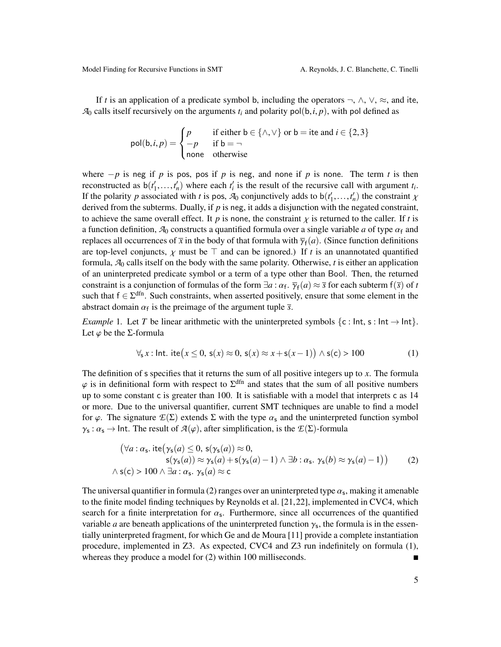If *t* is an application of a predicate symbol b, including the operators  $\neg$ ,  $\wedge$ ,  $\vee$ ,  $\approx$ , and ite,  $A_0$  calls itself recursively on the arguments  $t_i$  and polarity pol(b, *i*, *p*), with pol defined as

$$
pol(b, i, p) = \begin{cases} p & \text{if either } b \in \{\land, \lor\} \text{ or } b = \text{ite and } i \in \{2, 3\} \\ -p & \text{if } b = \neg \\ \text{none} & \text{otherwise} \end{cases}
$$

where  $-p$  is neg if *p* is pos, pos if *p* is neg, and none if *p* is none. The term *t* is then reconstructed as  $b(t'_1,...,t'_n)$  where each  $t'_i$  is the result of the recursive call with argument  $t_i$ .<br>If the polarity *n* associated with *t* is pos. As conjunctively adds to  $b(t'-t')$  the constraint *y* If the polarity *p* associated with *t* is pos,  $\mathcal{A}_0$  conjunctively adds to  $b(t'_1, ..., t'_n)$  the constraint  $\chi$ <br>derived from the subterms. Dually, if *n* is neg, it adds a disjunction with the negated constraint. derived from the subterms. Dually, if  $p$  is neg, it adds a disjunction with the negated constraint, to achieve the same overall effect. It *p* is none, the constraint  $\chi$  is returned to the caller. If *t* is a function definition,  $\mathcal{A}_0$  constructs a quantified formula over a single variable *a* of type  $\alpha_f$  and replaces all occurrences of  $\bar{x}$  in the body of that formula with  $\bar{\gamma}_f(a)$ . (Since function definitions are top layel conjuncts,  $\chi$  must be  $\bar{x}$  and can be ignored.) If t is an upannetated quantified are top-level conjuncts,  $\chi$  must be  $\top$  and can be ignored.) If *t* is an unannotated quantified formula, *A*<sup>0</sup> calls itself on the body with the same polarity. Otherwise, *t* is either an application of an uninterpreted predicate symbol or a term of a type other than Bool. Then, the returned constraint is a conjunction of formulas of the form  $\exists a : \alpha_f$ .  $\overline{\gamma}_f(a) \approx \overline{s}$  for each subterm  $f(\overline{s})$  of *t* such that  $f \in \mathcal{S}^{dfn}$ . Such constraints, when asserted positively ensure that some element in the such that  $f \in \Sigma^{dfn}$ . Such constraints, when asserted positively, ensure that some element in the abstract domain  $\alpha_f$  is the preimage of the argument tuple  $\bar{s}$ .

<span id="page-4-2"></span>*Example* 1. Let *T* be linear arithmetic with the uninterpreted symbols  $\{c : \text{Int}, s : \text{Int} \to \text{Int}\}.$ Let  $\varphi$  be the *Σ*-formula

<span id="page-4-1"></span>
$$
\forall_{s} x : \text{Int.} \text{ite}(x \leq 0, \, \mathsf{s}(x) \approx 0, \, \mathsf{s}(x) \approx x + \mathsf{s}(x - 1)) \land \mathsf{s}(\mathsf{c}) > 100 \tag{1}
$$

The definition of s specifies that it returns the sum of all positive integers up to *x*. The formula  $\varphi$  is in definitional form with respect to  $\Sigma^{\text{dfn}}$  and states that the sum of all positive numbers up to some constant  $\epsilon$  is greater than 100. It is satisfiable with a model that interprets  $\epsilon$  as 14 up to some constant c is greater than 100. It is satisfiable with a model that interprets c as 14 or more. Due to the universal quantifier, current SMT techniques are unable to find a model for  $\varphi$ . The signature  $\mathcal{E}(\Sigma)$  extends  $\Sigma$  with the type  $\alpha_s$  and the uninterpreted function symbol  $\gamma_s : \alpha_s \to \text{Int.}$  The result of  $\mathcal{A}(\varphi)$ , after simplification, is the  $\mathcal{E}(\Sigma)$ -formula

<span id="page-4-0"></span>
$$
(\forall a: \alpha_{s}. \text{ite}(\gamma_{s}(a) \leq 0, s(\gamma_{s}(a)) \approx 0,s(\gamma_{s}(a)) \approx \gamma_{s}(a) + s(\gamma_{s}(a) - 1) \land \exists b: \alpha_{s}. \gamma_{s}(b) \approx \gamma_{s}(a) - 1))
$$
  
 
$$
\land s(c) > 100 \land \exists a: \alpha_{s}. \gamma_{s}(a) \approx c
$$
 (2)

The universal quantifier in formula [\(2\)](#page-4-0) ranges over an uninterpreted type  $\alpha_s$ , making it amenable<br>to the finite model finding techniques by Peynolds et al. [21, 22], implemented in CVC4, which to the finite model finding techniques by Reynolds et al. [\[21,](#page-10-3)[22\]](#page-10-4), implemented in CVC4, which search for a finite interpretation for  $\alpha_s$ . Furthermore, since all occurrences of the quantified<br>variable *a* are beneath applications of the uninterpreted function  $\alpha$ , the formula is in the essen variable *a* are beneath applications of the uninterpreted function  $\gamma_s$ , the formula is in the essentially uninterpreted fragment, for which Ge and de Moura [111] provide a complete instantiation tially uninterpreted fragment, for which Ge and de Moura [\[11\]](#page-10-2) provide a complete instantiation procedure, implemented in Z3. As expected, CVC4 and Z3 run indefinitely on formula [\(1\)](#page-4-1), whereas they produce a model for  $(2)$  within 100 milliseconds.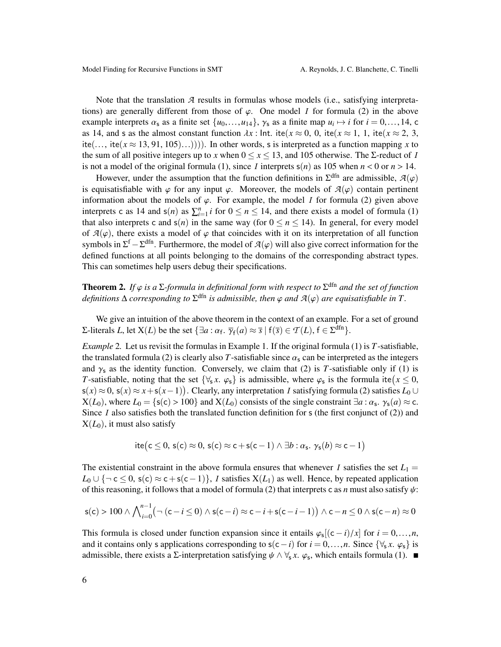Note that the translation *A* results in formulas whose models (i.e., satisfying interpretations) are generally different from those of  $\varphi$ . One model *I* for formula [\(2\)](#page-4-0) in the above example interprets  $\alpha_s$  as a finite set  $\{u_0, \ldots, u_{14}\}$ ,  $\gamma_s$  as a finite map  $u_i \mapsto i$  for  $i = 0, \ldots, 14$ , c<br>as 14, and s as the almost constant function  $dx$ ; lpt. ite( $x \approx 0$ , 0, ite( $x \approx 1, 1$ , ite( $x \approx 2, 3$ as 14, and s as the almost constant function  $\lambda x$ : Int. ite( $x \approx 0$ , 0, ite( $x \approx 1$ , 1, ite( $x \approx 2$ , 3, ite(..., ite( $x \approx 13, 91, 105$ )...)))). In other words, s is interpreted as a function mapping x to the sum of all positive integers up to *x* when  $0 \le x \le 13$ , and 105 otherwise. The  $\Sigma$ -reduct of *I* is not a model of the original formula [\(1\)](#page-4-1), since *I* interprets  $s(n)$  as 105 when  $n < 0$  or  $n > 14$ .

However, under the assumption that the function definitions in  $\Sigma^{\text{dfn}}$  are admissible,  $\mathcal{A}(\varphi)$  contain pertinent is equisatisfiable with  $\varphi$  for any input  $\varphi$ . Moreover, the models of  $\mathcal{A}(\varphi)$  contain pertinent information about the models of  $\varphi$ . For example, the model *I* for formula [\(2\)](#page-4-0) given above interprets c as 14 and  $s(n)$  as  $\sum_{i=1}^{n} i$  for  $0 \le n \le 14$ , and there exists a model of formula [\(1\)](#page-4-1) that also interprets c and  $s(n)$  in the same way (for  $0 \le n \le 14$ ). In general, for every model of  $A(\varphi)$ , there exists a model of  $\varphi$  that coincides with it on its interpretation of all function symbols in  $\Sigma^f - \Sigma^{dfn}$ . Furthermore, the model of  $\mathcal{A}(\varphi)$  will also give correct information for the defined functions at all points belonging to the domains of the corresponding abstract types. defined functions at all points belonging to the domains of the corresponding abstract types. This can sometimes help users debug their specifications.

<span id="page-5-0"></span>**Theorem 2.** If  $\varphi$  is a  $\Sigma$ -formula in definitional form with respect to  $\Sigma^{\text{dfn}}$  and the set of function definitions  $\Lambda$  corresponding to  $\Sigma^{\text{dfn}}$  is admissible, then  $\varphi$  and  $\mathcal{A}(\varphi)$  are equivatisfiable  $definitions \Delta$  *corresponding to*  $\Sigma^{\text{dfn}}$  *is admissible, then*  $\varphi$  *and*  $\mathcal{A}(\varphi)$  *are equisatisfiable in*  $T$ .

We give an intuition of the above theorem in the context of an example. For a set of ground  $Σ$ -literals *L*, let *X*(*L*) be the set {∃*a* : α<sub>f</sub>.  $\overline{\gamma}_f(a) ≈ \overline{s} | f(\overline{s}) ∈ T(L)$ ,  $f ∈ Σ$ <sup>dfn</sup>}.

*Example* 2*.* Let us revisit the formulas in Example [1.](#page-4-2) If the original formula [\(1\)](#page-4-1) is *T*-satisfiable, the translated formula [\(2\)](#page-4-0) is clearly also *T*-satisfiable since  $\alpha_s$  can be interpreted as the integers and  $\gamma_s$  as the identity function. Conversely, we claim that [\(2\)](#page-4-0) is *T*-satisfiable only if [\(1\)](#page-4-1) is *T*-satisfiable, noting that the set  $\{\forall_s x. \varphi_s\}$  is admissible, where  $\varphi_s$  is the formula ite $(x \le 0, \varsigma(x) \approx 0, \varsigma(x) \approx x + \varsigma(x-1)$ . Clearly any interpretation *L* satisfying formula (2) satisfies *L*<sub>ath</sub>  $s(x) \approx 0$ ,  $s(x) \approx x + s(x-1)$ ). Clearly, any interpretation *I* satisfying formula [\(2\)](#page-4-0) satisfies  $L_0 \cup$ <br> $\mathbf{Y}(L_0)$ , where  $L_0 = f(s(x) > 100$  and  $\mathbf{Y}(L_0)$  consists of the single constraint  $\exists a : \alpha \in \mathcal{X}(a) \approx \alpha$  $X(L_0)$ , where  $L_0 = \{s(c) > 100\}$  and  $X(L_0)$  consists of the single constraint  $\exists a : \alpha_s$ ,  $\gamma_s(a) \approx c$ .<br>Since *L* also satisfies both the translated function definition for *s* (the first conjunct of (2)) and Since *I* also satisfies both the translated function definition for  $s$  (the first conjunct of [\(2\)](#page-4-0)) and  $X(L_0)$ , it must also satisfy

$$
ite(c \leq 0, s(c) \approx 0, s(c) \approx c + s(c - 1) \land \exists b : \alpha_s, \gamma_s(b) \approx c - 1)
$$

The existential constraint in the above formula ensures that whenever *I* satisfies the set  $L_1 =$  $L_0$  ∪ {¬ c ≤ 0, s(c) ≈ c + s(c − 1)}, *I* satisfies  $X(L_1)$  as well. Hence, by repeated application of this reasoning, it follows that a model of formula [\(2\)](#page-4-0) that interprets c as *n* must also satisfy  $\psi$ :

$$
\mathsf{s}(\mathsf{c}) > 100 \land \bigwedge_{i=0}^{n-1} \bigl( \neg \left( \mathsf{c} - i \le 0 \right) \land \mathsf{s}(\mathsf{c} - i) \approx \mathsf{c} - i + \mathsf{s}(\mathsf{c} - i - 1) \bigr) \land \mathsf{c} - n \le 0 \land \mathsf{s}(\mathsf{c} - n) \approx 0
$$

This formula is closed under function expansion since it entails  $\varphi_s[(c-i)/x]$  for  $i = 0, ..., n$ ,<br>and it contains only a applications corresponding to  $s(c-i)$  for  $i = 0, ..., n$ . Since  $\int \forall x, c_0$ , is and it contains only s applications corresponding to  $s(c-i)$  for  $i = 0, ..., n$ . Since  $\{\forall_s x, \varphi_s\}$  is admissible, there exists a  $\Sigma$ -interpretation satisfying  $\psi \wedge \forall_s x$ .  $\varphi_s$ , which entails formula [\(1\)](#page-4-1).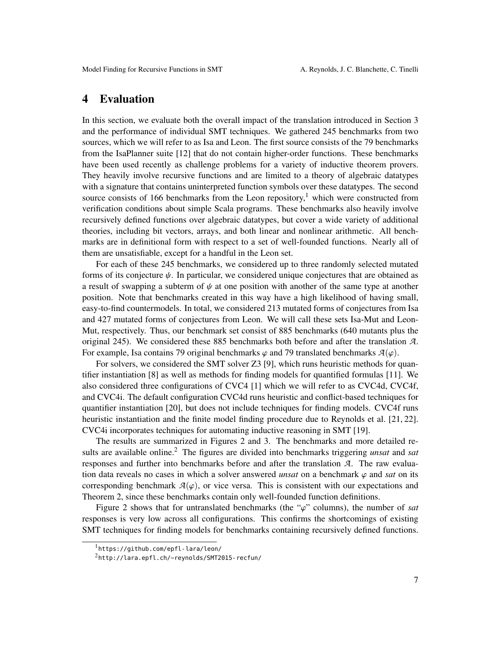# <span id="page-6-0"></span>4 Evaluation

In this section, we evaluate both the overall impact of the translation introduced in Section [3](#page-3-0) and the performance of individual SMT techniques. We gathered 245 benchmarks from two sources, which we will refer to as Isa and Leon. The first source consists of the 79 benchmarks from the IsaPlanner suite [\[12\]](#page-10-6) that do not contain higher-order functions. These benchmarks have been used recently as challenge problems for a variety of inductive theorem provers. They heavily involve recursive functions and are limited to a theory of algebraic datatypes with a signature that contains uninterpreted function symbols over these datatypes. The second source consists of [1](#page-6-1)66 benchmarks from the Leon repository,<sup>1</sup> which were constructed from verification conditions about simple Scala programs. These benchmarks also heavily involve recursively defined functions over algebraic datatypes, but cover a wide variety of additional theories, including bit vectors, arrays, and both linear and nonlinear arithmetic. All benchmarks are in definitional form with respect to a set of well-founded functions. Nearly all of them are unsatisfiable, except for a handful in the Leon set.

For each of these 245 benchmarks, we considered up to three randomly selected mutated forms of its conjecture  $\psi$ . In particular, we considered unique conjectures that are obtained as a result of swapping a subterm of  $\psi$  at one position with another of the same type at another position. Note that benchmarks created in this way have a high likelihood of having small, easy-to-find countermodels. In total, we considered 213 mutated forms of conjectures from Isa and 427 mutated forms of conjectures from Leon. We will call these sets Isa-Mut and Leon-Mut, respectively. Thus, our benchmark set consist of 885 benchmarks (640 mutants plus the original 245). We considered these 885 benchmarks both before and after the translation *A*. For example, Isa contains 79 original benchmarks  $\varphi$  and 79 translated benchmarks  $\mathcal{A}(\varphi)$ .

For solvers, we considered the SMT solver Z3 [\[9\]](#page-10-8), which runs heuristic methods for quantifier instantiation [\[8\]](#page-10-0) as well as methods for finding models for quantified formulas [\[11\]](#page-10-2). We also considered three configurations of CVC4 [\[1\]](#page-9-2) which we will refer to as CVC4d, CVC4f, and CVC4i. The default configuration CVC4d runs heuristic and conflict-based techniques for quantifier instantiation [\[20\]](#page-10-1), but does not include techniques for finding models. CVC4f runs heuristic instantiation and the finite model finding procedure due to Reynolds et al. [\[21,](#page-10-3) [22\]](#page-10-4). CVC4i incorporates techniques for automating inductive reasoning in SMT [\[19\]](#page-10-9).

The results are summarized in Figures [2](#page-7-1) and [3.](#page-7-2) The benchmarks and more detailed results are available online.[2](#page-6-2) The figures are divided into benchmarks triggering *unsat* and *sat* responses and further into benchmarks before and after the translation *A*. The raw evaluation data reveals no cases in which a solver answered *unsat* on a benchmark  $\varphi$  and *sat* on its corresponding benchmark  $A(\varphi)$ , or vice versa. This is consistent with our expectations and Theorem [2,](#page-5-0) since these benchmarks contain only well-founded function definitions.

Figure [2](#page-7-1) shows that for untranslated benchmarks (the " $\varphi$ " columns), the number of *sat* responses is very low across all configurations. This confirms the shortcomings of existing SMT techniques for finding models for benchmarks containing recursively defined functions.

<span id="page-6-1"></span><sup>1</sup><https://github.com/epfl-lara/leon/>

<span id="page-6-2"></span><sup>2</sup><http://lara.epfl.ch/~reynolds/SMT2015-recfun/>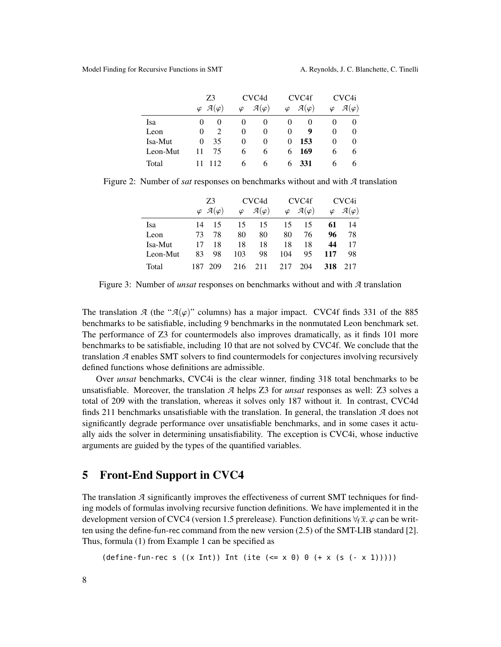|          | Z3                                      | CVC <sub>4</sub> d                  | CVC <sub>4f</sub>                   | CVC <sub>4i</sub>                   |  |
|----------|-----------------------------------------|-------------------------------------|-------------------------------------|-------------------------------------|--|
|          | $\varphi \mathcal{A}(\varphi)$          | $\mathcal{A}(\varphi)$<br>$\varphi$ | $\mathcal{A}(\varphi)$<br>$\varphi$ | $\mathcal{A}(\varphi)$<br>$\varphi$ |  |
| Isa      | $\mathbf{0}$                            | $\theta$<br>$\theta$                | $_{0}$<br>0                         | 0<br>O                              |  |
| Leon     | $\mathcal{D}_{\mathcal{A}}$<br>$\theta$ | $\Omega$<br>$\theta$                | 9<br>$\theta$                       | $\theta$<br>$\theta$                |  |
| Isa-Mut  | 35<br>$\Omega$                          | $\theta$<br>$\theta$                | 153<br>0                            | $\theta$<br>$\theta$                |  |
| Leon-Mut | 75<br>11                                | 6<br>6                              | 169<br>6                            | 6<br><sub>(</sub>                   |  |
| Total    | 112                                     | 6<br>6                              | 331<br>6.                           | b<br>h                              |  |

Figure 2: Number of *sat* responses on benchmarks without and with *A* translation

<span id="page-7-1"></span>

|          | Z3   |                                  |           | CVC <sub>4</sub> d     |           | CVC <sub>4f</sub>      |           | CVC4i                  |  |
|----------|------|----------------------------------|-----------|------------------------|-----------|------------------------|-----------|------------------------|--|
|          |      | $\varphi$ $\mathcal{A}(\varphi)$ | $\varphi$ | $\mathcal{A}(\varphi)$ | $\varphi$ | $\mathcal{A}(\varphi)$ | $\varphi$ | $\mathcal{A}(\varphi)$ |  |
| Isa      | 14   | 15                               | 15        | 15                     | 15        | 15                     | 61        | 14                     |  |
| Leon     | 73   | 78                               | 80        | 80                     | 80        | 76                     | 96        | 78                     |  |
| Isa-Mut  | 17   | 18                               | 18        | 18                     | 18        | 18                     | 44        | 17                     |  |
| Leon-Mut | 83   | 98                               | 103       | 98                     | 104       | 95                     | 117       | 98                     |  |
| Total    | 187. | 209                              | 216       | 211                    | 217       | 204                    | 318       | 217                    |  |

<span id="page-7-2"></span>Figure 3: Number of *unsat* responses on benchmarks without and with *A* translation

The translation *A* (the " $A(\varphi)$ " columns) has a major impact. CVC4f finds 331 of the 885 benchmarks to be satisfiable, including 9 benchmarks in the nonmutated Leon benchmark set. The performance of Z3 for countermodels also improves dramatically, as it finds 101 more benchmarks to be satisfiable, including 10 that are not solved by CVC4f. We conclude that the translation *A* enables SMT solvers to find countermodels for conjectures involving recursively defined functions whose definitions are admissible.

Over *unsat* benchmarks, CVC4i is the clear winner, finding 318 total benchmarks to be unsatisfiable. Moreover, the translation *A* helps Z3 for *unsat* responses as well: Z3 solves a total of 209 with the translation, whereas it solves only 187 without it. In contrast, CVC4d finds 211 benchmarks unsatisfiable with the translation. In general, the translation *A* does not significantly degrade performance over unsatisfiable benchmarks, and in some cases it actually aids the solver in determining unsatisfiability. The exception is CVC4i, whose inductive arguments are guided by the types of the quantified variables.

# <span id="page-7-0"></span>5 Front-End Support in CVC4

The translation *A* significantly improves the effectiveness of current SMT techniques for finding models of formulas involving recursive function definitions. We have implemented it in the development version of CVC4 (version 1.5 prerelease). Function definitions  $\forall_{f} \bar{x}$ .  $\varphi$  can be written using the define-fun-rec command from the new version (2.5) of the SMT-LIB standard [\[2\]](#page-9-0). Thus, formula [\(1\)](#page-4-1) from Example [1](#page-4-2) can be specified as

 $(detine-fun-rec s ((x Int)) Int (ite (<= x 0) 0 (+ x (s (- x 1))))))$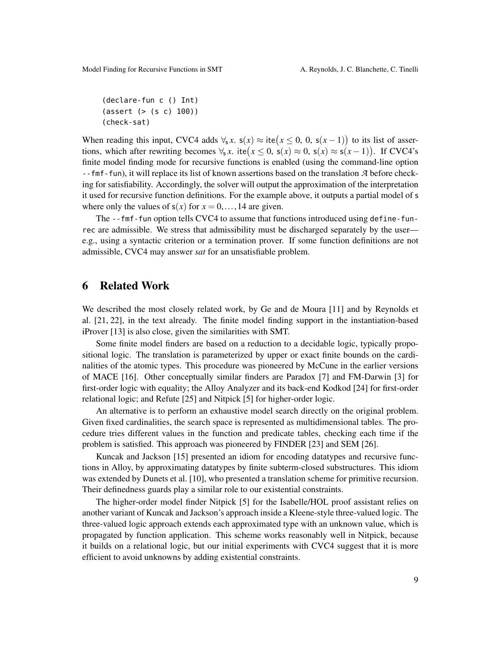```
(declare-fun c () Int)
(assert (> (s c) 100))
(check-sat)
```
When reading this input, CVC4 adds  $\forall_s x$ .  $s(x) \approx \text{ite}(x \leq 0, 0, s(x-1))$  to its list of assertions which after rewriting becomes  $\forall x$  its( $x \leq 0$ ,  $s(x) \approx 0$ ,  $s(x) \approx s(x-1)$ ). If CVCA's tions, which after rewriting becomes  $\forall s \, x$ . ite $(x \leq 0, s(x) \approx 0, s(x) \approx s(x-1))$ . If CVC4's finite model finding mode for recursive functions is enabled (using the command-line option --fmf-fun), it will replace its list of known assertions based on the translation *A* before checking for satisfiability. Accordingly, the solver will output the approximation of the interpretation it used for recursive function definitions. For the example above, it outputs a partial model of s where only the values of  $s(x)$  for  $x = 0, \ldots, 14$  are given.

The --fmf-fun option tells CVC4 to assume that functions introduced using define-funrec are admissible. We stress that admissibility must be discharged separately by the user e.g., using a syntactic criterion or a termination prover. If some function definitions are not admissible, CVC4 may answer *sat* for an unsatisfiable problem.

### 6 Related Work

We described the most closely related work, by Ge and de Moura [\[11\]](#page-10-2) and by Reynolds et al. [\[21,](#page-10-3) [22\]](#page-10-4), in the text already. The finite model finding support in the instantiation-based iProver [\[13\]](#page-10-10) is also close, given the similarities with SMT.

Some finite model finders are based on a reduction to a decidable logic, typically propositional logic. The translation is parameterized by upper or exact finite bounds on the cardinalities of the atomic types. This procedure was pioneered by McCune in the earlier versions of MACE [\[16\]](#page-10-11). Other conceptually similar finders are Paradox [\[7\]](#page-10-12) and FM-Darwin [\[3\]](#page-9-3) for first-order logic with equality; the Alloy Analyzer and its back-end Kodkod [\[24\]](#page-10-13) for first-order relational logic; and Refute [\[25\]](#page-10-14) and Nitpick [\[5\]](#page-9-4) for higher-order logic.

An alternative is to perform an exhaustive model search directly on the original problem. Given fixed cardinalities, the search space is represented as multidimensional tables. The procedure tries different values in the function and predicate tables, checking each time if the problem is satisfied. This approach was pioneered by FINDER [\[23\]](#page-10-15) and SEM [\[26\]](#page-10-16).

Kuncak and Jackson [\[15\]](#page-10-17) presented an idiom for encoding datatypes and recursive functions in Alloy, by approximating datatypes by finite subterm-closed substructures. This idiom was extended by Dunets et al. [\[10\]](#page-10-18), who presented a translation scheme for primitive recursion. Their definedness guards play a similar role to our existential constraints.

The higher-order model finder Nitpick [\[5\]](#page-9-4) for the Isabelle/HOL proof assistant relies on another variant of Kuncak and Jackson's approach inside a Kleene-style three-valued logic. The three-valued logic approach extends each approximated type with an unknown value, which is propagated by function application. This scheme works reasonably well in Nitpick, because it builds on a relational logic, but our initial experiments with CVC4 suggest that it is more efficient to avoid unknowns by adding existential constraints.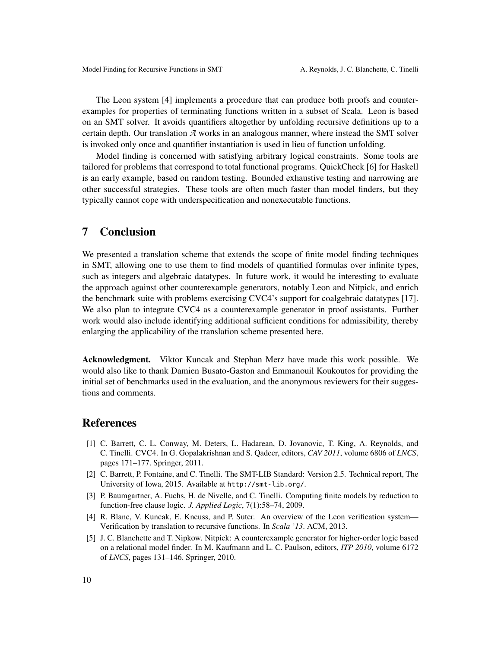The Leon system [\[4\]](#page-9-1) implements a procedure that can produce both proofs and counterexamples for properties of terminating functions written in a subset of Scala. Leon is based on an SMT solver. It avoids quantifiers altogether by unfolding recursive definitions up to a certain depth. Our translation *A* works in an analogous manner, where instead the SMT solver is invoked only once and quantifier instantiation is used in lieu of function unfolding.

Model finding is concerned with satisfying arbitrary logical constraints. Some tools are tailored for problems that correspond to total functional programs. QuickCheck [\[6\]](#page-10-19) for Haskell is an early example, based on random testing. Bounded exhaustive testing and narrowing are other successful strategies. These tools are often much faster than model finders, but they typically cannot cope with underspecification and nonexecutable functions.

#### 7 Conclusion

We presented a translation scheme that extends the scope of finite model finding techniques in SMT, allowing one to use them to find models of quantified formulas over infinite types, such as integers and algebraic datatypes. In future work, it would be interesting to evaluate the approach against other counterexample generators, notably Leon and Nitpick, and enrich the benchmark suite with problems exercising CVC4's support for coalgebraic datatypes [\[17\]](#page-10-20). We also plan to integrate CVC4 as a counterexample generator in proof assistants. Further work would also include identifying additional sufficient conditions for admissibility, thereby enlarging the applicability of the translation scheme presented here.

Acknowledgment. Viktor Kuncak and Stephan Merz have made this work possible. We would also like to thank Damien Busato-Gaston and Emmanouil Koukoutos for providing the initial set of benchmarks used in the evaluation, and the anonymous reviewers for their suggestions and comments.

# References

- <span id="page-9-2"></span>[1] C. Barrett, C. L. Conway, M. Deters, L. Hadarean, D. Jovanovic, T. King, A. Reynolds, and C. Tinelli. CVC4. In G. Gopalakrishnan and S. Qadeer, editors, *CAV 2011*, volume 6806 of *LNCS*, pages 171–177. Springer, 2011.
- <span id="page-9-0"></span>[2] C. Barrett, P. Fontaine, and C. Tinelli. The SMT-LIB Standard: Version 2.5. Technical report, The University of Iowa, 2015. Available at <http://smt-lib.org/>.
- <span id="page-9-3"></span>[3] P. Baumgartner, A. Fuchs, H. de Nivelle, and C. Tinelli. Computing finite models by reduction to function-free clause logic. *J. Applied Logic*, 7(1):58–74, 2009.
- <span id="page-9-1"></span>[4] R. Blanc, V. Kuncak, E. Kneuss, and P. Suter. An overview of the Leon verification system— Verification by translation to recursive functions. In *Scala '13*. ACM, 2013.
- <span id="page-9-4"></span>[5] J. C. Blanchette and T. Nipkow. Nitpick: A counterexample generator for higher-order logic based on a relational model finder. In M. Kaufmann and L. C. Paulson, editors, *ITP 2010*, volume 6172 of *LNCS*, pages 131–146. Springer, 2010.